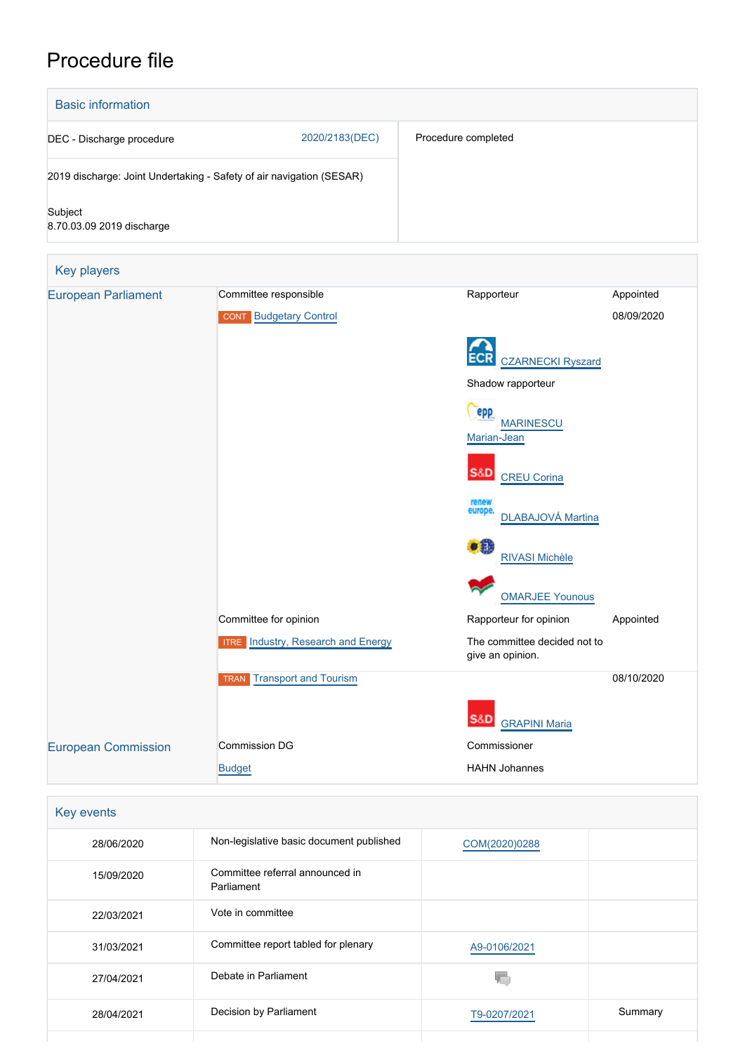# Procedure file



| Key events |                                               |               |         |
|------------|-----------------------------------------------|---------------|---------|
| 28/06/2020 | Non-legislative basic document published      | COM(2020)0288 |         |
| 15/09/2020 | Committee referral announced in<br>Parliament |               |         |
| 22/03/2021 | Vote in committee                             |               |         |
| 31/03/2021 | Committee report tabled for plenary           | A9-0106/2021  |         |
| 27/04/2021 | Debate in Parliament                          |               |         |
| 28/04/2021 | Decision by Parliament                        | T9-0207/2021  | Summary |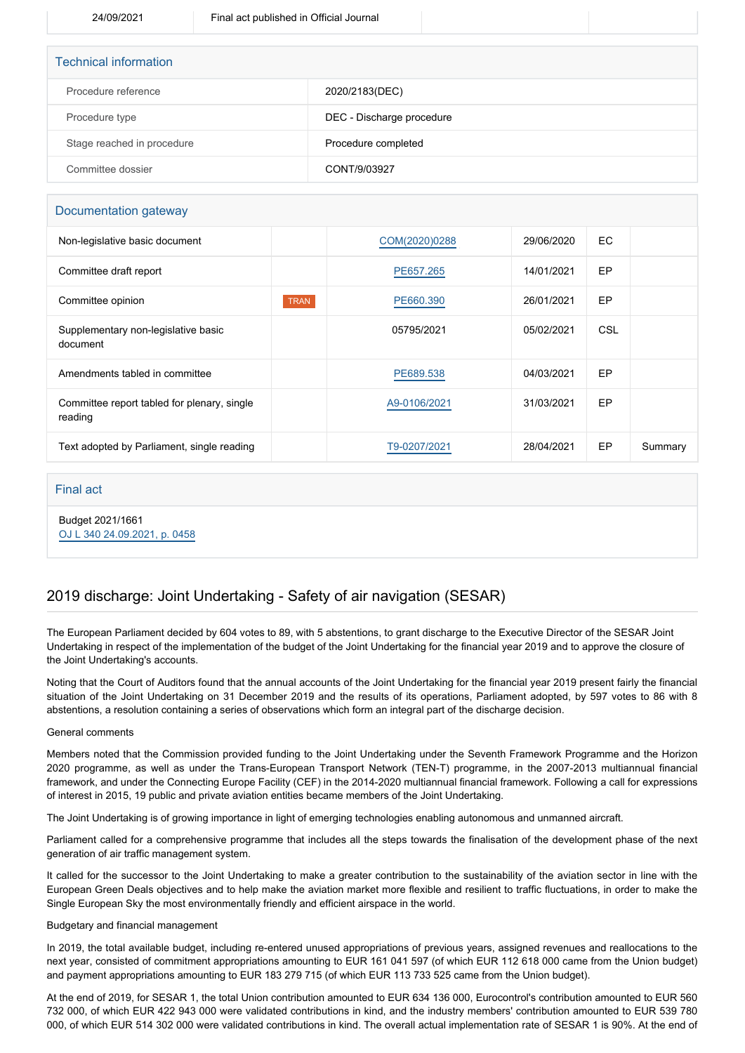| <b>Technical information</b> |                           |
|------------------------------|---------------------------|
| Procedure reference          | 2020/2183(DEC)            |
| Procedure type               | DEC - Discharge procedure |
| Stage reached in procedure   | Procedure completed       |
| Committee dossier            | CONT/9/03927              |

### Documentation gateway

| Non-legislative basic document                         |             | COM(2020)0288 | 29/06/2020 | EC.        |         |
|--------------------------------------------------------|-------------|---------------|------------|------------|---------|
| Committee draft report                                 |             | PE657.265     | 14/01/2021 | EP         |         |
| Committee opinion                                      | <b>TRAN</b> | PE660.390     | 26/01/2021 | EP         |         |
| Supplementary non-legislative basic<br>document        |             | 05795/2021    | 05/02/2021 | <b>CSL</b> |         |
| Amendments tabled in committee                         |             | PE689.538     | 04/03/2021 | EP         |         |
| Committee report tabled for plenary, single<br>reading |             | A9-0106/2021  | 31/03/2021 | EP         |         |
| Text adopted by Parliament, single reading             |             | T9-0207/2021  | 28/04/2021 | EP         | Summary |
|                                                        |             |               |            |            |         |

## Final act

Budget 2021/1661 [OJ L 340 24.09.2021, p. 0458](https://eur-lex.europa.eu/legal-content/EN/TXT/?uri=OJ:L:2021:340:TOC)

# 2019 discharge: Joint Undertaking - Safety of air navigation (SESAR)

The European Parliament decided by 604 votes to 89, with 5 abstentions, to grant discharge to the Executive Director of the SESAR Joint Undertaking in respect of the implementation of the budget of the Joint Undertaking for the financial year 2019 and to approve the closure of the Joint Undertaking's accounts.

Noting that the Court of Auditors found that the annual accounts of the Joint Undertaking for the financial year 2019 present fairly the financial situation of the Joint Undertaking on 31 December 2019 and the results of its operations, Parliament adopted, by 597 votes to 86 with 8 abstentions, a resolution containing a series of observations which form an integral part of the discharge decision.

#### General comments

Members noted that the Commission provided funding to the Joint Undertaking under the Seventh Framework Programme and the Horizon 2020 programme, as well as under the Trans-European Transport Network (TEN-T) programme, in the 2007-2013 multiannual financial framework, and under the Connecting Europe Facility (CEF) in the 2014-2020 multiannual financial framework. Following a call for expressions of interest in 2015, 19 public and private aviation entities became members of the Joint Undertaking.

The Joint Undertaking is of growing importance in light of emerging technologies enabling autonomous and unmanned aircraft.

Parliament called for a comprehensive programme that includes all the steps towards the finalisation of the development phase of the next generation of air traffic management system.

It called for the successor to the Joint Undertaking to make a greater contribution to the sustainability of the aviation sector in line with the European Green Deals objectives and to help make the aviation market more flexible and resilient to traffic fluctuations, in order to make the Single European Sky the most environmentally friendly and efficient airspace in the world.

### Budgetary and financial management

In 2019, the total available budget, including re-entered unused appropriations of previous years, assigned revenues and reallocations to the next year, consisted of commitment appropriations amounting to EUR 161 041 597 (of which EUR 112 618 000 came from the Union budget) and payment appropriations amounting to EUR 183 279 715 (of which EUR 113 733 525 came from the Union budget).

At the end of 2019, for SESAR 1, the total Union contribution amounted to EUR 634 136 000, Eurocontrol's contribution amounted to EUR 560 732 000, of which EUR 422 943 000 were validated contributions in kind, and the industry members' contribution amounted to EUR 539 780 000, of which EUR 514 302 000 were validated contributions in kind. The overall actual implementation rate of SESAR 1 is 90%. At the end of